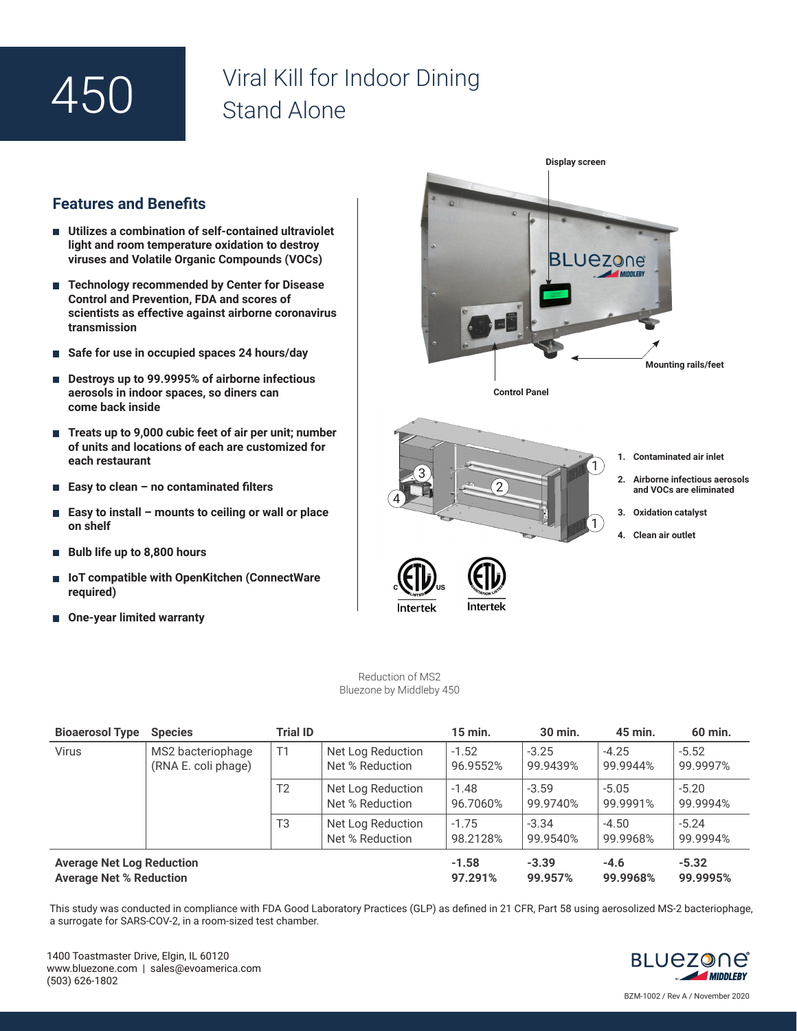## 450

## Viral Kill for Indoor Dining Stand Alone

## **Features and Benefits**

- **Utilizes a combination of self-contained ultraviolet light and room temperature oxidation to destroy viruses and Volatile Organic Compounds (VOCs)**
- **Technology recommended by Center for Disease Control and Prevention, FDA and scores of scientists as effective against airborne coronavirus transmission**
- **Safe for use in occupied spaces 24 hours/day**
- Destroys up to 99.9995% of airborne infectious **aerosols in indoor spaces, so diners can come back inside**
- Treats up to 9,000 cubic feet of air per unit; number **of units and locations of each are customized for each restaurant**
- **Easy to clean no contaminated filters**
- **Easy to install mounts to ceiling or wall or place on shelf**
- **Bulb life up to 8,800 hours**
- IoT compatible with OpenKitchen (ConnectWare **required)**
- One-year limited warranty



Reduction of MS2 Bluezone by Middleby 450

| <b>Bioaerosol Type</b>                                             | <b>Species</b>                           | <b>Trial ID</b> |                                      | $15$ min.           | 30 min.             | 45 min.             | 60 min.             |
|--------------------------------------------------------------------|------------------------------------------|-----------------|--------------------------------------|---------------------|---------------------|---------------------|---------------------|
| <b>Virus</b>                                                       | MS2 bacteriophage<br>(RNA E. coli phage) | T1              | Net Log Reduction<br>Net % Reduction | $-1.52$<br>96.9552% | $-3.25$<br>99.9439% | $-4.25$<br>99.9944% | $-5.52$<br>99.9997% |
|                                                                    |                                          | T <sub>2</sub>  | Net Log Reduction<br>Net % Reduction | $-1.48$<br>96.7060% | $-3.59$<br>99.9740% | $-5.05$<br>99.9991% | $-5.20$<br>99.9994% |
|                                                                    |                                          | T3              | Net Log Reduction<br>Net % Reduction | $-1.75$<br>98.2128% | $-3.34$<br>99.9540% | $-4.50$<br>99.9968% | $-5.24$<br>99.9994% |
| <b>Average Net Log Reduction</b><br><b>Average Net % Reduction</b> |                                          |                 |                                      | $-1.58$<br>97.291%  | $-3.39$<br>99.957%  | $-4.6$<br>99.9968%  | $-5.32$<br>99.9995% |

This study was conducted in compliance with FDA Good Laboratory Practices (GLP) as defined in 21 CFR, Part 58 using aerosolized MS-2 bacteriophage, a surrogate for SARS-COV-2, in a room-sized test chamber.



BZM-1002 / Rev A / November 2020